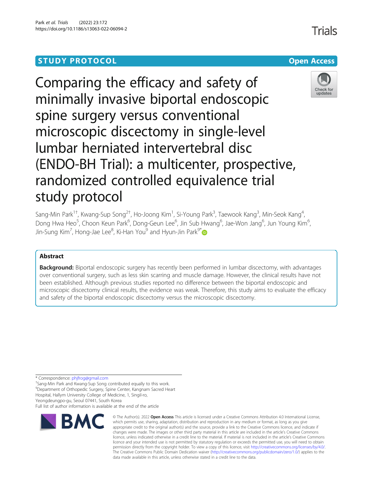# **STUDY PROTOCOL CONSUMING THE RESERVE ACCESS**



Comparing the efficacy and safety of minimally invasive biportal endoscopic spine surgery versus conventional microscopic discectomy in single-level lumbar herniated intervertebral disc (ENDO-BH Trial): a multicenter, prospective, randomized controlled equivalence trial study protocol

Sang-Min Park $^{1\dagger}$ , Kwang-Sup Song $^{2\dagger}$ , Ho-Joong Kim $^1$ , Si-Young Park $^3$ , Taewook Kang $^3$ , Min-Seok Kang $^4$ , Dong Hwa Heo<sup>5</sup>, Choon Keun Park<sup>6</sup>, Dong-Geun Lee<sup>6</sup>, Jin Sub Hwang<sup>6</sup>, Jae-Won Jang<sup>6</sup>, Jun Young Kim<sup>6</sup> , Jin-Sung Kim<sup>7</sup>, Hong-Jae Lee<sup>8</sup>, Ki-Han You<sup>9</sup> and Hyun-Jin Park<sup>9[\\*](http://orcid.org/0000-0002-8075-2813)</sup>

# Abstract

**Background:** Biportal endoscopic surgery has recently been performed in lumbar discectomy, with advantages over conventional surgery, such as less skin scarring and muscle damage. However, the clinical results have not been established. Although previous studies reported no difference between the biportal endoscopic and microscopic discectomy clinical results, the evidence was weak. Therefore, this study aims to evaluate the efficacy and safety of the biportal endoscopic discectomy versus the microscopic discectomy.

\* Correspondence: [phjfrog@gmail.com](mailto:phjfrog@gmail.com) †

<sup>+</sup>Sang-Min Park and Kwang-Sup Song contributed equally to this work. 9 Department of Orthopedic Surgery, Spine Center, Kangnam Sacred Heart

Hospital, Hallym University College of Medicine, 1, Singil-ro,

Yeongdeungpo-gu, Seoul 07441, South Korea Full list of author information is available at the end of the article



<sup>©</sup> The Author(s), 2022 **Open Access** This article is licensed under a Creative Commons Attribution 4.0 International License, which permits use, sharing, adaptation, distribution and reproduction in any medium or format, as long as you give appropriate credit to the original author(s) and the source, provide a link to the Creative Commons licence, and indicate if changes were made. The images or other third party material in this article are included in the article's Creative Commons licence, unless indicated otherwise in a credit line to the material. If material is not included in the article's Creative Commons licence and your intended use is not permitted by statutory regulation or exceeds the permitted use, you will need to obtain permission directly from the copyright holder. To view a copy of this licence, visit [http://creativecommons.org/licenses/by/4.0/.](http://creativecommons.org/licenses/by/4.0/) The Creative Commons Public Domain Dedication waiver [\(http://creativecommons.org/publicdomain/zero/1.0/](http://creativecommons.org/publicdomain/zero/1.0/)) applies to the data made available in this article, unless otherwise stated in a credit line to the data.

Trials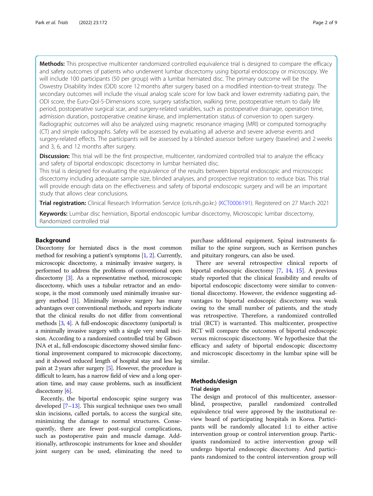Methods: This prospective multicenter randomized controlled equivalence trial is designed to compare the efficacy and safety outcomes of patients who underwent lumbar discectomy using biportal endoscopy or microscopy. We will include 100 participants (50 per group) with a lumbar herniated disc. The primary outcome will be the Oswestry Disability Index (ODI) score 12 months after surgery based on a modified intention-to-treat strategy. The secondary outcomes will include the visual analog scale score for low back and lower extremity radiating pain, the ODI score, the Euro-Qol-5-Dimensions score, surgery satisfaction, walking time, postoperative return to daily life period, postoperative surgical scar, and surgery-related variables, such as postoperative drainage, operation time, admission duration, postoperative creatine kinase, and implementation status of conversion to open surgery. Radiographic outcomes will also be analyzed using magnetic resonance imaging (MRI) or computed tomography (CT) and simple radiographs. Safety will be assessed by evaluating all adverse and severe adverse events and surgery-related effects. The participants will be assessed by a blinded assessor before surgery (baseline) and 2 weeks and 3, 6, and 12 months after surgery.

Discussion: This trial will be the first prospective, multicenter, randomized controlled trial to analyze the efficacy and safety of biportal endoscopic discectomy in lumbar herniated disc.

This trial is designed for evaluating the equivalence of the results between biportal endoscopic and microscopic discectomy including adequate sample size, blinded analyses, and prospective registration to reduce bias. This trial will provide enough data on the effectiveness and safety of biportal endoscopic surgery and will be an important study that allows clear conclusions.

Trial registration: Clinical Research Information Service (cris.nih.go.kr.) ([KCT0006191](https://cris.nih.go.kr/cris/search/detailSearch.do/21143)). Registered on 27 March 2021

Keywords: Lumbar disc herniation, Biportal endoscopic lumbar discectomy, Microscopic lumbar discectomy, Randomized controlled trial

#### Background

Discectomy for herniated discs is the most common method for resolving a patient's symptoms [\[1,](#page-7-0) [2](#page-7-0)]. Currently, microscopic discectomy, a minimally invasive surgery, is performed to address the problems of conventional open discectomy [\[3\]](#page-7-0). As a representative method, microscopic discectomy, which uses a tubular retractor and an endoscope, is the most commonly used minimally invasive surgery method [\[1\]](#page-7-0). Minimally invasive surgery has many advantages over conventional methods, and reports indicate that the clinical results do not differ from conventional methods [[3](#page-7-0), [4](#page-7-0)]. A full-endoscopic discectomy (uniportal) is a minimally invasive surgery with a single very small incision. According to a randomized controlled trial by Gibson JNA et al., full-endoscopic discectomy showed similar functional improvement compared to microscopic discectomy, and it showed reduced length of hospital stay and less leg pain at 2 years after surgery [[5](#page-7-0)]. However, the procedure is difficult to learn, has a narrow field of view and a long operation time, and may cause problems, such as insufficient discectomy  $[6]$ .

Recently, the biportal endoscopic spine surgery was developed  $[7-13]$  $[7-13]$  $[7-13]$  $[7-13]$  $[7-13]$ . This surgical technique uses two small skin incisions, called portals, to access the surgical site, minimizing the damage to normal structures. Consequently, there are fewer post-surgical complications, such as postoperative pain and muscle damage. Additionally, arthroscopic instruments for knee and shoulder joint surgery can be used, eliminating the need to purchase additional equipment. Spinal instruments familiar to the spine surgeon, such as Kerrison punches and pituitary rongeurs, can also be used.

There are several retrospective clinical reports of biportal endoscopic discectomy [[7,](#page-7-0) [14](#page-7-0), [15\]](#page-7-0). A previous study reported that the clinical feasibility and results of biportal endoscopic discectomy were similar to conventional discectomy. However, the evidence suggesting advantages to biportal endoscopic discectomy was weak owing to the small number of patients, and the study was retrospective. Therefore, a randomized controlled trial (RCT) is warranted. This multicenter, prospective RCT will compare the outcomes of biportal endoscopic versus microscopic discectomy. We hypothesize that the efficacy and safety of biportal endoscopic discectomy and microscopic discectomy in the lumbar spine will be similar.

# Methods/design

#### Trial design

The design and protocol of this multicenter, assessorblind, prospective, parallel randomized controlled equivalence trial were approved by the institutional review board of participating hospitals in Korea. Participants will be randomly allocated 1:1 to either active intervention group or control intervention group. Participants randomized to active intervention group will undergo biportal endoscopic discectomy. And participants randomized to the control intervention group will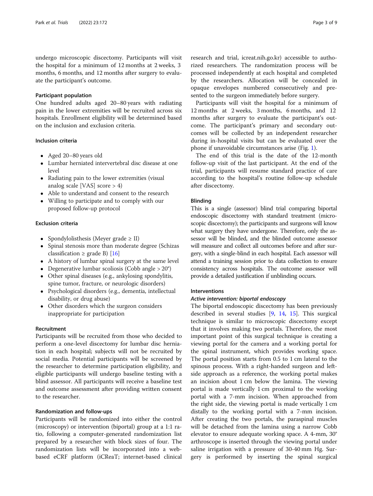undergo microscopic discectomy. Participants will visit the hospital for a minimum of 12 months at 2 weeks, 3 months, 6 months, and 12 months after surgery to evaluate the participant's outcome.

### Participant population

One hundred adults aged 20–80 years with radiating pain in the lower extremities will be recruited across six hospitals. Enrollment eligibility will be determined based on the inclusion and exclusion criteria.

# Inclusion criteria

- Aged 20–80 years old
- Lumbar herniated intervertebral disc disease at one level
- Radiating pain to the lower extremities (visual analog scale [VAS] score > 4)
- Able to understand and consent to the research
- Willing to participate and to comply with our proposed follow-up protocol

# Exclusion criteria

- Spondylolisthesis (Meyer grade  $\geq$  II)
- Spinal stenosis more than moderate degree (Schizas classification  $\geq$  grade B) [[16](#page-8-0)]
- A history of lumbar spinal surgery at the same level
- Degenerative lumbar scoliosis (Cobb angle > 20°)
- Other spinal diseases (e.g., ankylosing spondylitis, spine tumor, fracture, or neurologic disorders)
- Psychological disorders (e.g., dementia, intellectual disability, or drug abuse)
- Other disorders which the surgeon considers inappropriate for participation

### Recruitment

Participants will be recruited from those who decided to perform a one-level discectomy for lumbar disc herniation in each hospital; subjects will not be recruited by social media. Potential participants will be screened by the researcher to determine participation eligibility, and eligible participants will undergo baseline testing with a blind assessor. All participants will receive a baseline test and outcome assessment after providing written consent to the researcher.

#### Randomization and follow-ups

Participants will be randomized into either the control (microscopy) or intervention (biportal) group at a 1:1 ratio, following a computer-generated randomization list prepared by a researcher with block sizes of four. The randomization lists will be incorporated into a webbased eCRF platform (iCReaT; internet-based clinical

research and trial, icreat.nih.go.kr) accessible to authorized researchers. The randomization process will be processed independently at each hospital and completed by the researchers. Allocation will be concealed in opaque envelopes numbered consecutively and presented to the surgeon immediately before surgery.

Participants will visit the hospital for a minimum of 12 months at 2 weeks, 3 months, 6 months, and 12 months after surgery to evaluate the participant's outcome. The participant's primary and secondary outcomes will be collected by an independent researcher during in-hospital visits but can be evaluated over the phone if unavoidable circumstances arise (Fig. [1\)](#page-3-0).

The end of this trial is the date of the 12-month follow-up visit of the last participant. At the end of the trial, participants will resume standard practice of care according to the hospital's routine follow-up schedule after discectomy.

# Blinding

This is a single (assessor) blind trial comparing biportal endoscopic discectomy with standard treatment (microscopic discectomy); the participants and surgeons will know what surgery they have undergone. Therefore, only the assessor will be blinded, and the blinded outcome assessor will measure and collect all outcomes before and after surgery, with a single-blind in each hospital. Each assessor will attend a training session prior to data collection to ensure consistency across hospitals. The outcome assessor will provide a detailed justification if unblinding occurs.

# **Interventions**

#### Active intervention: biportal endoscopy

The biportal endoscopic discectomy has been previously described in several studies [[9,](#page-7-0) [14](#page-7-0), [15\]](#page-7-0). This surgical technique is similar to microscopic discectomy except that it involves making two portals. Therefore, the most important point of this surgical technique is creating a viewing portal for the camera and a working portal for the spinal instrument, which provides working space. The portal position starts from 0.5 to 1 cm lateral to the spinous process. With a right-handed surgeon and leftside approach as a reference, the working portal makes an incision about 1 cm below the lamina. The viewing portal is made vertically 1 cm proximal to the working portal with a 7-mm incision. When approached from the right side, the viewing portal is made vertically 1 cm distally to the working portal with a 7-mm incision. After creating the two portals, the paraspinal muscles will be detached from the lamina using a narrow Cobb elevator to ensure adequate working space. A 4-mm, 30° arthroscope is inserted through the viewing portal under saline irrigation with a pressure of 30-40 mm Hg. Surgery is performed by inserting the spinal surgical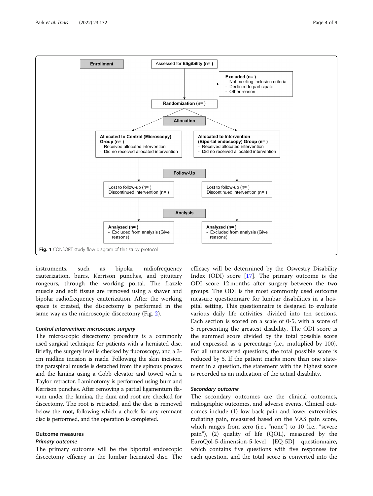<span id="page-3-0"></span>

instruments, such as bipolar radiofrequency cauterization, burrs, Kerrison punches, and pituitary rongeurs, through the working portal. The frazzle muscle and soft tissue are removed using a shaver and bipolar radiofrequency cauterization. After the working space is created, the discectomy is performed in the same way as the microscopic discectomy (Fig. [2](#page-4-0)).

# Control intervention: microscopic surgery

The microscopic discectomy procedure is a commonly used surgical technique for patients with a herniated disc. Briefly, the surgery level is checked by fluoroscopy, and a 3 cm midline incision is made. Following the skin incision, the paraspinal muscle is detached from the spinous process and the lamina using a Cobb elevator and towed with a Taylor retractor. Laminotomy is performed using burr and Kerrison punches. After removing a partial ligamentum flavum under the lamina, the dura and root are checked for discectomy. The root is retracted, and the disc is removed below the root, following which a check for any remnant disc is performed, and the operation is completed.

# Outcome measures

# Primary outcome

The primary outcome will be the biportal endoscopic discectomy efficacy in the lumbar herniated disc. The

efficacy will be determined by the Oswestry Disability Index (ODI) score [\[17\]](#page-8-0). The primary outcome is the ODI score 12 months after surgery between the two groups. The ODI is the most commonly used outcome measure questionnaire for lumbar disabilities in a hospital setting. This questionnaire is designed to evaluate various daily life activities, divided into ten sections. Each section is scored on a scale of 0-5, with a score of 5 representing the greatest disability. The ODI score is the summed score divided by the total possible score and expressed as a percentage (i.e., multiplied by 100). For all unanswered questions, the total possible score is reduced by 5. If the patient marks more than one statement in a question, the statement with the highest score is recorded as an indication of the actual disability.

# Secondary outcome

The secondary outcomes are the clinical outcomes, radiographic outcomes, and adverse events. Clinical outcomes include (1) low back pain and lower extremities radiating pain, measured based on the VAS pain score, which ranges from zero (i.e., "none") to 10 (i.e., "severe pain"), (2) quality of life (QOL), measured by the EuroQol-5-dimension-5-level [EQ-5D] questionnaire, which contains five questions with five responses for each question, and the total score is converted into the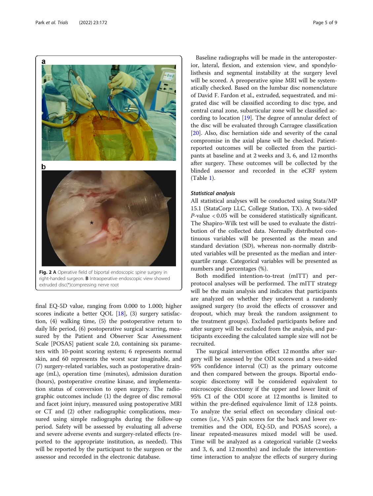<span id="page-4-0"></span>

right-handed surgeon. B Intraoperative endoscopic view showed extruded disc(\*)compressing nerve root

final EQ-5D value, ranging from 0.000 to 1.000; higher scores indicate a better QOL [\[18\]](#page-8-0), (3) surgery satisfaction, (4) walking time, (5) the postoperative return to daily life period, (6) postoperative surgical scarring, measured by the Patient and Observer Scar Assessment Scale [POSAS] patient scale 2.0, containing six parameters with 10-point scoring system; 6 represents normal skin, and 60 represents the worst scar imaginable, and (7) surgery-related variables, such as postoperative drainage (mL), operation time (minutes), admission duration (hours), postoperative creatine kinase, and implementation status of conversion to open surgery. The radiographic outcomes include (1) the degree of disc removal and facet joint injury, measured using postoperative MRI or CT and (2) other radiographic complications, measured using simple radiographs during the follow-up period. Safety will be assessed by evaluating all adverse and severe adverse events and surgery-related effects (reported to the appropriate institution, as needed). This will be reported by the participant to the surgeon or the assessor and recorded in the electronic database.

Baseline radiographs will be made in the anteroposterior, lateral, flexion, and extension view, and spondylolisthesis and segmental instability at the surgery level will be scored. A preoperative spine MRI will be systematically checked. Based on the lumbar disc nomenclature of David F. Fardon et al., extruded, sequestrated, and migrated disc will be classified according to disc type, and central canal zone, subarticular zone will be classified according to location [[19](#page-8-0)]. The degree of annular defect of the disc will be evaluated through Carragee classification [[20\]](#page-8-0). Also, disc herniation side and severity of the canal compromise in the axial plane will be checked. Patientreported outcomes will be collected from the participants at baseline and at 2 weeks and 3, 6, and 12 months after surgery. These outcomes will be collected by the blinded assessor and recorded in the eCRF system (Table [1\)](#page-5-0).

#### Statistical analysis

All statistical analyses will be conducted using Stata/MP 15.1 (StataCorp LLC, College Station, TX). A two-sided P-value < 0.05 will be considered statistically significant. The Shapiro-Wilk test will be used to evaluate the distribution of the collected data. Normally distributed continuous variables will be presented as the mean and standard deviation (SD), whereas non-normally distributed variables will be presented as the median and interquartile range. Categorical variables will be presented as numbers and percentages (%).

Both modified intention-to-treat (mITT) and perprotocol analyses will be performed. The mITT strategy will be the main analysis and indicates that participants are analyzed on whether they underwent a randomly assigned surgery (to avoid the effects of crossover and dropout, which may break the random assignment to the treatment groups). Excluded participants before and after surgery will be excluded from the analysis, and participants exceeding the calculated sample size will not be recruited.

The surgical intervention effect 12 months after surgery will be assessed by the ODI scores and a two-sided 95% confidence interval (CI) as the primary outcome and then compared between the groups. Biportal endoscopic discectomy will be considered equivalent to microscopic discectomy if the upper and lower limit of 95% CI of the ODI score at 12 months is limited to within the pre-defined equivalence limit of 12.8 points. To analyze the serial effect on secondary clinical outcomes (i.e., VAS pain scores for the back and lower extremities and the ODI, EQ-5D, and POSAS score), a linear repeated-measures mixed model will be used. Time will be analyzed as a categorical variable (2 weeks and 3, 6, and 12 months) and include the interventiontime interaction to analyze the effects of surgery during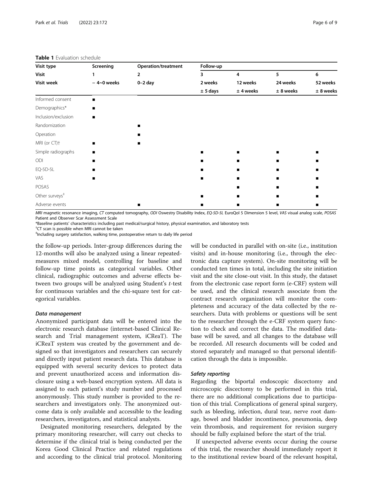| Visit type<br><b>Visit</b><br>Visit week | Screening<br>$-4$ ~0 weeks | <b>Operation/treatment</b><br>$\overline{2}$<br>$0-2$ day | Follow-up      |               |               |               |
|------------------------------------------|----------------------------|-----------------------------------------------------------|----------------|---------------|---------------|---------------|
|                                          |                            |                                                           | 3<br>2 weeks   | 4<br>12 weeks | 5<br>24 weeks | 6<br>52 weeks |
|                                          |                            |                                                           |                |               |               |               |
| Informed consent                         | п                          |                                                           |                |               |               |               |
| Demographics*                            | п                          |                                                           |                |               |               |               |
| Inclusion/exclusion                      | п                          |                                                           |                |               |               |               |
| Randomization                            |                            |                                                           |                |               |               |               |
| Operation                                |                            |                                                           |                |               |               |               |
| MRI (or CT)+                             | п                          |                                                           |                |               |               |               |
| Simple radiographs                       | п                          |                                                           | ■              |               |               |               |
| ODI                                      |                            |                                                           |                |               |               |               |
| EQ-5D-5L                                 |                            |                                                           | ■              |               |               |               |
| VAS                                      |                            |                                                           | $\blacksquare$ |               |               |               |
| POSAS                                    |                            |                                                           |                |               |               |               |
| Other surveys <sup>#</sup>               |                            |                                                           | ▬              |               |               |               |
| Adverse events                           |                            |                                                           |                |               |               |               |

#### <span id="page-5-0"></span>Table 1 Evaluation schedule

MRI magnetic resonance imaging, CT computed tomography, ODI Oswestry Disability Index, EQ-5D-5L EuroQol 5 Dimension 5 level, VAS visual analog scale, POSAS Patient and Observer Scar Assessment Scale

\*Baseline patients' characteristics including past medical/surgical history, physical examination, and laboratory tests †

<sup>†</sup>CT scan is possible when MRI cannot be taken

‡ Including surgery satisfaction, walking time, postoperative return to daily life period

the follow-up periods. Inter-group differences during the 12-months will also be analyzed using a linear repeatedmeasures mixed model, controlling for baseline and follow-up time points as categorical variables. Other clinical, radiographic outcomes and adverse effects between two groups will be analyzed using Student's t-test for continuous variables and the chi-square test for categorical variables.

#### Data management

Anonymized participant data will be entered into the electronic research database (internet-based Clinical Research and Trial management system, iCReaT). The iCReaT system was created by the government and designed so that investigators and researchers can securely and directly input patient research data. This database is equipped with several security devices to protect data and prevent unauthorized access and information disclosure using a web-based encryption system. All data is assigned to each patient's study number and processed anonymously. This study number is provided to the researchers and investigators only. The anonymized outcome data is only available and accessible to the leading researchers, investigators, and statistical analysts.

Designated monitoring researchers, delegated by the primary monitoring researcher, will carry out checks to determine if the clinical trial is being conducted per the Korea Good Clinical Practice and related regulations and according to the clinical trial protocol. Monitoring will be conducted in parallel with on-site (i.e., institution visits) and in-house monitoring (i.e., through the electronic data capture system). On-site monitoring will be conducted ten times in total, including the site initiation visit and the site close-out visit. In this study, the dataset from the electronic case report form (e-CRF) system will be used, and the clinical research associate from the contract research organization will monitor the completeness and accuracy of the data collected by the researchers. Data with problems or questions will be sent to the researcher through the e-CRF system query function to check and correct the data. The modified database will be saved, and all changes to the database will be recorded. All research documents will be coded and stored separately and managed so that personal identification through the data is impossible.

#### Safety reporting

Regarding the biportal endoscopic discectomy and microscopic discectomy to be performed in this trial, there are no additional complications due to participation of this trial. Complications of general spinal surgery, such as bleeding, infection, dural tear, nerve root damage, bowel and bladder incontinence, pneumonia, deep vein thrombosis, and requirement for revision surgery should be fully explained before the start of the trial.

If unexpected adverse events occur during the course of this trial, the researcher should immediately report it to the institutional review board of the relevant hospital,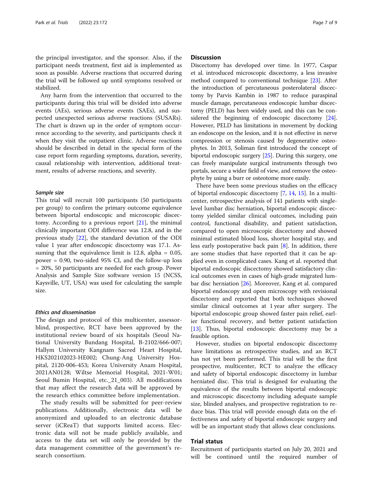the principal investigator, and the sponsor. Also, if the participant needs treatment, first aid is implemented as soon as possible. Adverse reactions that occurred during the trial will be followed up until symptoms resolved or stabilized.

Any harm from the intervention that occurred to the participants during this trial will be divided into adverse events (AEs), serious adverse events (SAEs), and suspected unexpected serious adverse reactions (SUSARs). The chart is drawn up in the order of symptom occurrence according to the severity, and participants check it when they visit the outpatient clinic. Adverse reactions should be described in detail in the special form of the case report form regarding symptoms, duration, severity, causal relationship with intervention, additional treatment, results of adverse reactions, and severity.

### Sample size

This trial will recruit 100 participants (50 participants per group) to confirm the primary outcome equivalence between biportal endoscopic and microscopic discectomy. According to a previous report  $[21]$  $[21]$ , the minimal clinically important ODI difference was 12.8, and in the previous study [[22\]](#page-8-0), the standard deviation of the ODI value 1 year after endoscopic discectomy was 17.1. Assuming that the equivalence limit is 12.8, alpha = 0.05, power = 0.90, two-sided 95% CI, and the follow-up loss = 20%, 50 participants are needed for each group. Power Analysis and Sample Size software version 15 (NCSS, Kaysville, UT, USA) was used for calculating the sample size.

#### Ethics and dissemination

The design and protocol of this multicenter, assessorblind, prospective, RCT have been approved by the institutional review board of six hospitals (Seoul National University Bundang Hospital, B-2102/666-007; Hallym University Kangnam Sacred Heart Hospital, HKS202102023-HE002; Chung-Ang University Hospital, 2120-006-453; Korea University Anam Hospital, 2021AN0128; Wiltse Memorial Hospital, 2021-W01; Seoul Bumin Hospital, etc.\_21\_003). All modifications that may affect the research data will be approved by the research ethics committee before implementation.

The study results will be submitted for peer-review publications. Additionally, electronic data will be anonymized and uploaded to an electronic database server (iCReaT) that supports limited access. Electronic data will not be made publicly available, and access to the data set will only be provided by the data management committee of the government's research consortium.

# **Discussion**

Discectomy has developed over time. In 1977, Caspar et al. introduced microscopic discectomy, a less invasive method compared to conventional technique  $[23]$  $[23]$  $[23]$ . After the introduction of percutaneous posterolateral discectomy by Parvis Kambin in 1987 to reduce paraspinal muscle damage, percutaneous endoscopic lumbar discectomy (PELD) has been widely used, and this can be considered the beginning of endoscopic discectomy [[24](#page-8-0)]. However, PELD has limitations in movement by docking an endoscope on the lesion, and it is not effective in nerve compression or stenosis caused by degenerative osteophytes. In 2013, Soliman first introduced the concept of biportal endoscopic surgery [\[25](#page-8-0)]. During this surgery, one can freely manipulate surgical instruments through two portals, secure a wider field of view, and remove the osteophyte by using a burr or osteotome more easily.

There have been some previous studies on the efficacy of biportal endoscopic discectomy [[7,](#page-7-0) [14,](#page-7-0) [15\]](#page-7-0). In a multicenter, retrospective analysis of 141 patients with singlelevel lumbar disc herniation, biportal endoscopic discectomy yielded similar clinical outcomes, including pain control, functional disability, and patient satisfaction, compared to open microscopic discectomy and showed minimal estimated blood loss, shorter hospital stay, and less early postoperative back pain [[8\]](#page-7-0). In addition, there are some studies that have reported that it can be applied even in complicated cases. Kang et al. reported that biportal endoscopic discectomy showed satisfactory clinical outcomes even in cases of high-grade migrated lumbar disc herniation [\[26\]](#page-8-0). Moreover, Kang et al. compared biportal endoscopy and open microscopy with revisional discectomy and reported that both techniques showed similar clinical outcomes at 1 year after surgery. The biportal endoscopic group showed faster pain relief, earlier functional recovery, and better patient satisfaction [[13\]](#page-7-0). Thus, biportal endoscopic discectomy may be a feasible option.

However, studies on biportal endoscopic discectomy have limitations as retrospective studies, and an RCT has not yet been performed. This trial will be the first prospective, multicenter, RCT to analyze the efficacy and safety of biportal endoscopic discectomy in lumbar herniated disc. This trial is designed for evaluating the equivalence of the results between biportal endoscopic and microscopic discectomy including adequate sample size, blinded analyses, and prospective registration to reduce bias. This trial will provide enough data on the effectiveness and safety of biportal endoscopic surgery and will be an important study that allows clear conclusions.

# Trial status

Recruitment of participants started on July 20, 2021 and will be continued until the required number of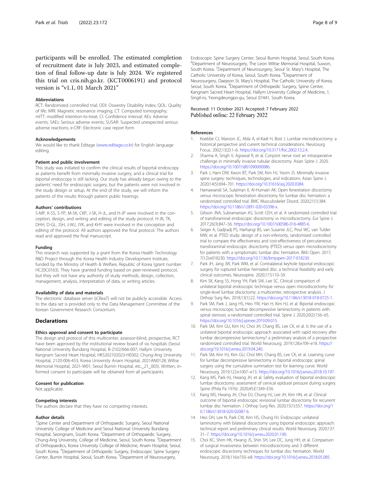<span id="page-7-0"></span>participants will be enrolled. The estimated completion of recruitment date is July 2023, and estimated completion of final follow-up date is July 2024. We registered this trial on cris.nih.go.kr. (KCT0006191) and protocol version is "v1.1, 01 March 2021"

#### Abbreviations

RCT: Randomized controlled trial; ODI: Oswestry Disability Index; QOL: Quality of life; MRI: Magnetic resonance imaging; CT: Computed tomography; mITT: modified intention-to-treat; CI: Confidence interval; AEs: Adverse events; SAEs: Serious adverse events; SUSAR: Suspected unexpected serious adverse reactions; e-CRF: Electronic case report form

#### Acknowledgements

We would like to thank Editage ([www.editage.co.kr](http://www.editage.co.kr)) for English language editing.

#### Patient and public involvement

This study was initiated to confirm the clinical results of biportal endoscopy as patients benefit from minimally invasive surgery, and a clinical trial for biportal endoscopy is still lacking. Our study has already begun owing to the patients' need for endoscopic surgery, but the patients were not involved in the study design or setup. At the end of the study, we will inform the patients of the results through patient public hearings.

#### Authors' contributions

S-MP, K-SS, S-YP, M-SK, CKP, J-SK, H-JL, and H-JP were involved in the conception, design, and writing and editing of the study protocol. H-JK, TK, DHH, D-GL, JSH, J-WJ, JYK, and KHY were involved in the conception and editing of the protocol. All authors approved the final protocol. The authors read and approved the final manuscript.

#### Funding

This research was supported by a grant from the Korea Health Technology R&D Project through the Korea Health Industry Development Institute, funded by the Ministry of Health & Welfare, Republic of Korea (grant number: HC20C0163). They have granted funding based on peer-reviewed protocol, but they will not have any authority of study methods, design, collection, management, analysis, interpretation of data, or writing articles.

#### Availability of data and materials

The electronic database server (iCReaT) will not be publicly accessible. Access to the data set is provided only to the Data Management Committee of the Korean Government Research Consortium.

# **Declarations**

#### Ethics approval and consent to participate

The design and protocol of this multicenter, assessor-blind, prospective, RCT have been approved by the institutional review board of six hospitals (Seoul National University Bundang Hospital, B-2102/666-007; Hallym University Kangnam Sacred Heart Hospital, HKS202102023-HE002; Chung-Ang University Hospital, 2120-006-453; Korea University Anam Hospital, 2021AN0128; Wiltse Memorial Hospital, 2021-W01; Seoul Bumin Hospital, etc.\_21\_003). Written, informed consent to participate will be obtained from all participants.

#### Consent for publication

Not applicable.

#### Competing interests

The authors declare that they have no competing interests.

#### Author details

<sup>1</sup>Spine Center and Department of Orthopaedic Surgery, Seoul National University College of Medicine and Seoul National University Bundang Hospital, Seongnam, South Korea. <sup>2</sup>Department of Orthopaedic Surgery, Chung-Ang University, College of Medicine, Seoul, South Korea. <sup>3</sup>Department of Orthopaedics, Korea University College of Medicine, Anam Hospital, Seoul, South Korea. <sup>4</sup>Department of Orthopedic Surgery, Endoscopic Spine Surgery Center, Bumin Hospital, Seoul, South Korea. <sup>5</sup> Department of Neurosurgery,

Endoscopic Spine Surgery Center, Seoul Bumin Hospital, Seoul, South Korea. 6 Department of Neurosurgery, The Leon Wiltse Memorial Hospital, Suwon, South Korea. <sup>7</sup> Department of Neurosurgery, Seoul St. Mary's Hospital, The Catholic University of Korea, Seoul, South Korea. <sup>8</sup>Department of Neurosurgery, Daejeon St. Mary's Hospital, The Catholic University of Korea, Seoul, South Korea. <sup>9</sup>Department of Orthopedic Surgery, Spine Center Kangnam Sacred Heart Hospital, Hallym University College of Medicine, 1, Singil-ro, Yeongdeungpo-gu, Seoul 07441, South Korea.

# Received: 11 October 2021 Accepted: 7 February 2022 Published online: 22 February 2022

#### References

- Koebbe CJ, Maroon JC, Abla A, el-Kadi H, Bost J. Lumbar microdiscectomy: a historical perspective and current technical considerations. Neurosurg Focus. 2002;13(2):1–6. <https://doi.org/10.3171/foc.2002.13.2.4>.
- 2. Sharma A, Singh V, Agrawal R, et al. Conjoint nerve root an intraoperative challenge in minimally invasive tubular discectomy. Asian Spine J. 2020. <https://doi.org/10.1007/s801090000086>.
- 3. Park J, Ham DW, Kwon BT, Park SM, Kim HJ, Yeom JS. Minimally invasive spine surgery: techniques, technologies, and indications. Asian Spine J. 2020;14(5):694–701. [https://doi.org/10.31616/asj.2020.0384.](https://doi.org/10.31616/asj.2020.0384)
- 4. Hamawandi SA, Sulaiman II, Al-Humairi AK. Open fenestration discectomy versus microscopic fenestration discectomy for lumbar disc herniation: a randomized controlled trial. BMC Musculoskelet Disord. 2020;21(1):384. <https://doi.org/10.1186/s12891-020-03396-x>.
- 5. Gibson JNA, Subramanian AS, Scott CEH, et al. A randomized controlled trial of transforaminal endoscopic discectomy vs microdiscectomy. Eur Spine J. 2017;26(3):847–56. <https://doi.org/10.1007/s00586-016-4885-6>.
- 6. Seiger A, Gadjradj PS, Harhangi BS, van Susante JLC, Peul WC, van Tulder MW, et al. PTED study: design of a non-inferiority, randomised controlled trial to compare the effectiveness and cost-effectiveness of percutaneous transforaminal endoscopic discectomy (PTED) versus open microdiscectomy for patients with a symptomatic lumbar disc herniation. BMJ Open. 2017; 7(12):e018230. [https://doi.org/10.1136/bmjopen-2017-018230.](https://doi.org/10.1136/bmjopen-2017-018230)
- 7. Park JH, Jang JW, Park WM, et al. Contralateral keyhole biportal endoscopic surgery for ruptured lumbar herniated disc: a technical feasibility and early clinical outcomes. Neurospine. 2020;17:S110–S9.
- Kim SK, Kang SS, Hong YH, Park SW, Lee SC. Clinical comparison of unilateral biportal endoscopic technique versus open microdiscectomy for single-level lumbar discectomy: a multicenter, retrospective analysis. J Orthop Surg Res. 2018;13(1):22. [https://doi.org/10.1186/s13018-018-0725-1.](https://doi.org/10.1186/s13018-018-0725-1)
- 9. Park SM, Park J, Jang HS, Heo YW, Han H, Kim HJ, et al. Biportal endoscopic versus microscopic lumbar decompressive laminectomy in patients with spinal stenosis: a randomized controlled trial. Spine J. 2020;20(2):156–65. <https://doi.org/10.1016/j.spinee.2019.09.015>.
- 10. Park SM, Kim GU, Kim HJ, Choi JH, Chang BS, Lee CK, et al. Is the use of a unilateral biportal endoscopic approach associated with rapid recovery after lumbar decompressive laminectomy? a preliminary analysis of a prospective randomized controlled trial. World Neurosurg. 2019;128:e709–e18. [https://](https://doi.org/10.1016/j.wneu.2019.04.240) [doi.org/10.1016/j.wneu.2019.04.240](https://doi.org/10.1016/j.wneu.2019.04.240).
- 11. Park SM, Kim HJ, Kim GU, Choi MH, Chang BS, Lee CK, et al. Learning curve for lumbar decompressive laminectomy in biportal endoscopic spinal surgery using the cumulative summation test for learning curve. World Neurosurg. 2019;122:e1007–e13. <https://doi.org/10.1016/j.wneu.2018.10.197>.
- 12. Kang MS, Park HJ, Hwang JH, et al. Safety evaluation of biportal endoscopic lumbar discectomy: assessment of cervical epidural pressure during surgery. Spine (Phila Pa 1976). 2020;45:E1349–E56.
- 13. Kang MS, Hwang JH, Choi DJ, Chung HJ, Lee JH, Kim HN, et al. Clinical outcome of biportal endoscopic revisional lumbar discectomy for recurrent lumbar disc herniation. J Orthop Surg Res. 2020;15(1):557. [https://doi.org/1](https://doi.org/10.1186/s13018-020-02087-6) [0.1186/s13018-020-02087-6](https://doi.org/10.1186/s13018-020-02087-6).
- 14. Heo DH, Lee N, Park CW, Kim HS, Chung HJ. Endoscopic unilateral laminotomy with bilateral discectomy using biportal endoscopic approach: technical report and preliminary clinical results. World Neurosurg. 2020;137: 31–7. <https://doi.org/10.1016/j.wneu.2020.01.190>.
- 15. Choi KC, Shim HK, Hwang JS, Shin SH, Lee DC, Jung HH, et al. Comparison of surgical invasiveness between microdiscectomy and 3 different endoscopic discectomy techniques for lumbar disc herniation. World Neurosurg. 2018;116:e750–e8. [https://doi.org/10.1016/j.wneu.2018.05.085.](https://doi.org/10.1016/j.wneu.2018.05.085)